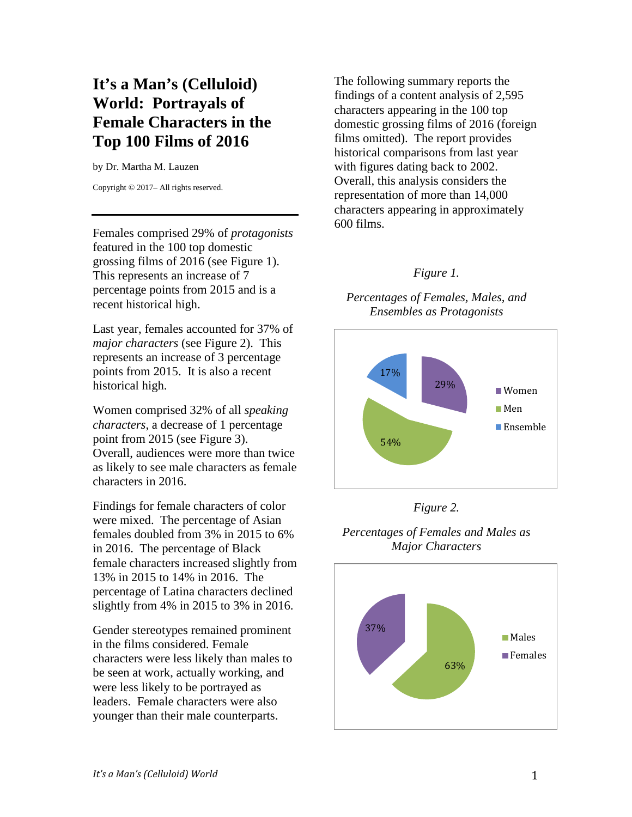# **It's a Man's (Celluloid) World: Portrayals of Female Characters in the Top 100 Films of 2016**

by Dr. Martha M. Lauzen

Copyright © 2017– All rights reserved.

Females comprised 29% of *protagonists* featured in the 100 top domestic grossing films of 2016 (see Figure 1). This represents an increase of 7 percentage points from 2015 and is a recent historical high.

Last year, females accounted for 37% of *major characters* (see Figure 2). This represents an increase of 3 percentage points from 2015. It is also a recent historical high.

Women comprised 32% of all *speaking characters*, a decrease of 1 percentage point from 2015 (see Figure 3). Overall, audiences were more than twice as likely to see male characters as female characters in 2016.

Findings for female characters of color were mixed. The percentage of Asian females doubled from 3% in 2015 to 6% in 2016. The percentage of Black female characters increased slightly from 13% in 2015 to 14% in 2016. The percentage of Latina characters declined slightly from 4% in 2015 to 3% in 2016.

Gender stereotypes remained prominent in the films considered. Female characters were less likely than males to be seen at work, actually working, and were less likely to be portrayed as leaders. Female characters were also younger than their male counterparts.

The following summary reports the findings of a content analysis of 2,595 characters appearing in the 100 top domestic grossing films of 2016 (foreign films omitted). The report provides historical comparisons from last year with figures dating back to 2002. Overall, this analysis considers the representation of more than 14,000 characters appearing in approximately 600 films.

### *Figure 1.*

*Percentages of Females, Males, and Ensembles as Protagonists*



*Figure 2.* 



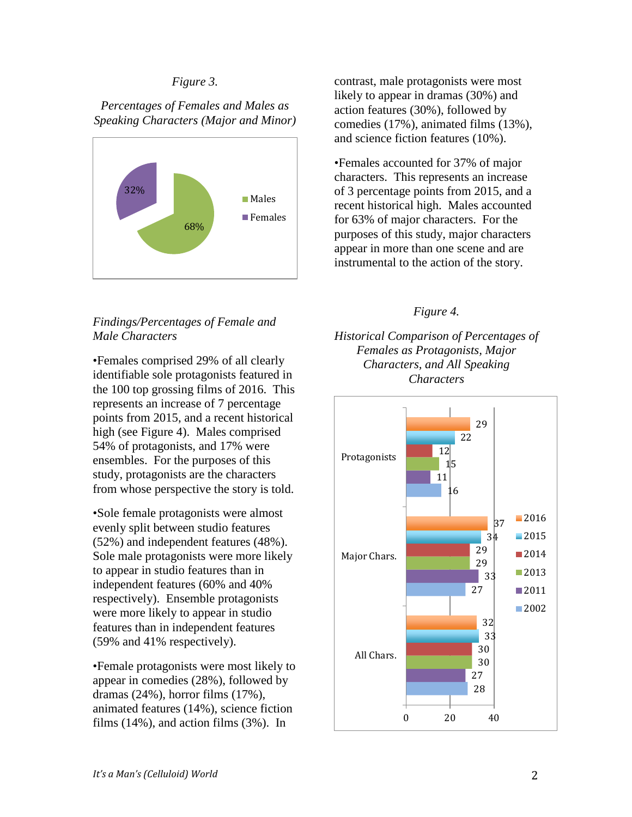### *Figure 3.*

*Percentages of Females and Males as Speaking Characters (Major and Minor)*



# *Findings/Percentages of Female and Male Characters*

•Females comprised 29% of all clearly identifiable sole protagonists featured in the 100 top grossing films of 2016. This represents an increase of 7 percentage points from 2015, and a recent historical high (see Figure 4). Males comprised 54% of protagonists, and 17% were ensembles. For the purposes of this study, protagonists are the characters from whose perspective the story is told.

•Sole female protagonists were almost evenly split between studio features (52%) and independent features (48%). Sole male protagonists were more likely to appear in studio features than in independent features (60% and 40% respectively). Ensemble protagonists were more likely to appear in studio features than in independent features (59% and 41% respectively).

•Female protagonists were most likely to appear in comedies (28%), followed by dramas (24%), horror films (17%), animated features (14%), science fiction films (14%), and action films (3%). In

contrast, male protagonists were most likely to appear in dramas (30%) and action features (30%), followed by comedies (17%), animated films (13%), and science fiction features (10%).

•Females accounted for 37% of major characters. This represents an increase of 3 percentage points from 2015, and a recent historical high. Males accounted for 63% of major characters. For the purposes of this study, major characters appear in more than one scene and are instrumental to the action of the story.

### *Figure 4.*

*Historical Comparison of Percentages of Females as Protagonists, Major Characters, and All Speaking Characters*

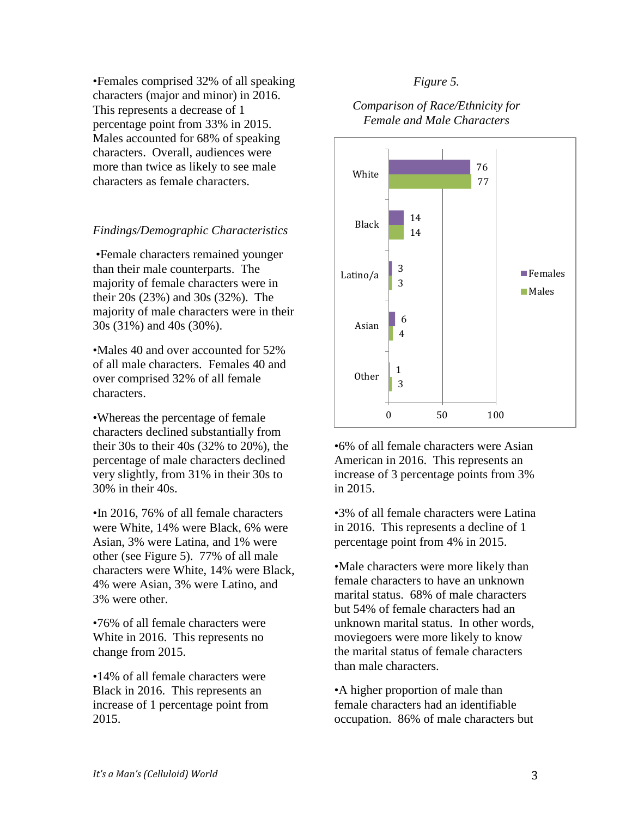•Females comprised 32% of all speaking characters (major and minor) in 2016. This represents a decrease of 1 percentage point from 33% in 2015. Males accounted for 68% of speaking characters. Overall, audiences were more than twice as likely to see male characters as female characters.

#### *Findings/Demographic Characteristics*

•Female characters remained younger than their male counterparts. The majority of female characters were in their 20s (23%) and 30s (32%). The majority of male characters were in their 30s (31%) and 40s (30%).

•Males 40 and over accounted for 52% of all male characters. Females 40 and over comprised 32% of all female characters.

•Whereas the percentage of female characters declined substantially from their 30s to their 40s (32% to 20%), the percentage of male characters declined very slightly, from 31% in their 30s to 30% in their 40s.

•In 2016, 76% of all female characters were White, 14% were Black, 6% were Asian, 3% were Latina, and 1% were other (see Figure 5). 77% of all male characters were White, 14% were Black, 4% were Asian, 3% were Latino, and 3% were other.

•76% of all female characters were White in 2016. This represents no change from 2015.

•14% of all female characters were Black in 2016. This represents an increase of 1 percentage point from 2015.

#### *Figure 5.*

#### *Comparison of Race/Ethnicity for Female and Male Characters*



•6% of all female characters were Asian American in 2016. This represents an increase of 3 percentage points from 3% in 2015.

•3% of all female characters were Latina in 2016. This represents a decline of 1 percentage point from 4% in 2015.

•Male characters were more likely than female characters to have an unknown marital status. 68% of male characters but 54% of female characters had an unknown marital status. In other words, moviegoers were more likely to know the marital status of female characters than male characters.

•A higher proportion of male than female characters had an identifiable occupation. 86% of male characters but